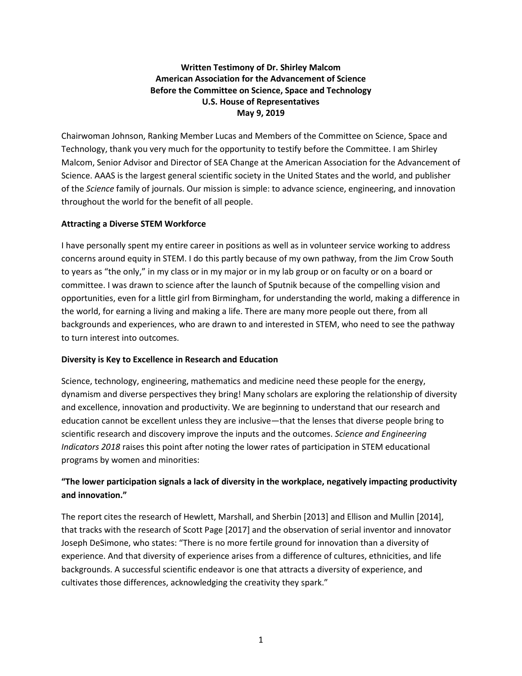## **Written Testimony of Dr. Shirley Malcom American Association for the Advancement of Science Before the Committee on Science, Space and Technology U.S. House of Representatives May 9, 2019**

Chairwoman Johnson, Ranking Member Lucas and Members of the Committee on Science, Space and Technology, thank you very much for the opportunity to testify before the Committee. I am Shirley Malcom, Senior Advisor and Director of SEA Change at the American Association for the Advancement of Science. AAAS is the largest general scientific society in the United States and the world, and publisher of the *Science* family of journals. Our mission is simple: to advance science, engineering, and innovation throughout the world for the benefit of all people.

## **Attracting a Diverse STEM Workforce**

I have personally spent my entire career in positions as well as in volunteer service working to address concerns around equity in STEM. I do this partly because of my own pathway, from the Jim Crow South to years as "the only," in my class or in my major or in my lab group or on faculty or on a board or committee. I was drawn to science after the launch of Sputnik because of the compelling vision and opportunities, even for a little girl from Birmingham, for understanding the world, making a difference in the world, for earning a living and making a life. There are many more people out there, from all backgrounds and experiences, who are drawn to and interested in STEM, who need to see the pathway to turn interest into outcomes.

### **Diversity is Key to Excellence in Research and Education**

Science, technology, engineering, mathematics and medicine need these people for the energy, dynamism and diverse perspectives they bring! Many scholars are exploring the relationship of diversity and excellence, innovation and productivity. We are beginning to understand that our research and education cannot be excellent unless they are inclusive—that the lenses that diverse people bring to scientific research and discovery improve the inputs and the outcomes. *Science and Engineering Indicators 2018* raises this point after noting the lower rates of participation in STEM educational programs by women and minorities:

# **"The lower participation signals a lack of diversity in the workplace, negatively impacting productivity and innovation."**

The report cites the research of Hewlett, Marshall, and Sherbin [2013] and Ellison and Mullin [2014], that tracks with the research of Scott Page [2017] and the observation of serial inventor and innovator Joseph DeSimone, who states: "There is no more fertile ground for innovation than a diversity of experience. And that diversity of experience arises from a difference of cultures, ethnicities, and life backgrounds. A successful scientific endeavor is one that attracts a diversity of experience, and cultivates those differences, acknowledging the creativity they spark."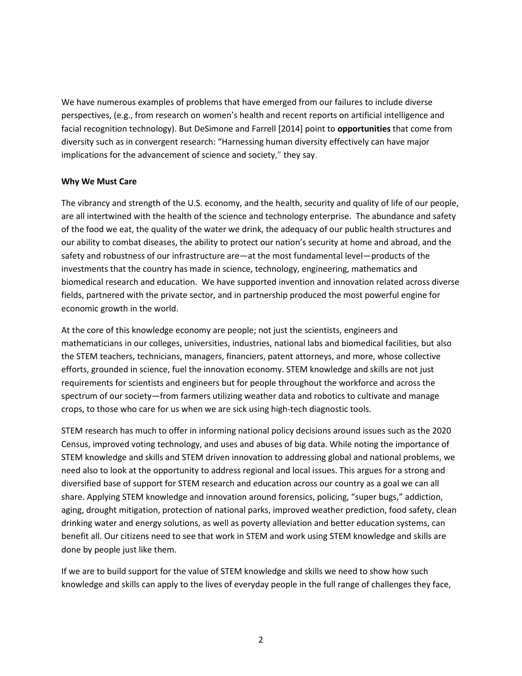We have numerous examples of problems that have emerged from our failures to include diverse perspectives, (e.g., from research on women's health and recent reports on artificial intelligence and facial recognition technology). But DeSimone and Farrell [2014] point to **opportunities** that come from diversity such as in convergent research: "Harnessing human diversity effectively can have major implications for the advancement of science and society," they say.

### **Why We Must Care**

The vibrancy and strength of the U.S. economy, and the health, security and quality of life of our people, are all intertwined with the health of the science and technology enterprise. The abundance and safety of the food we eat, the quality of the water we drink, the adequacy of our public health structures and our ability to combat diseases, the ability to protect our nation's security at home and abroad, and the safety and robustness of our infrastructure are—at the most fundamental level—products of the investments that the country has made in science, technology, engineering, mathematics and biomedical research and education. We have supported invention and innovation related across diverse fields, partnered with the private sector, and in partnership produced the most powerful engine for economic growth in the world.

At the core of this knowledge economy are people; not just the scientists, engineers and mathematicians in our colleges, universities, industries, national labs and biomedical facilities, but also the STEM teachers, technicians, managers, financiers, patent attorneys, and more, whose collective efforts, grounded in science, fuel the innovation economy. STEM knowledge and skills are not just requirements for scientists and engineers but for people throughout the workforce and across the spectrum of our society—from farmers utilizing weather data and robotics to cultivate and manage crops, to those who care for us when we are sick using high-tech diagnostic tools.

STEM research has much to offer in informing national policy decisions around issues such as the 2020 Census, improved voting technology, and uses and abuses of big data. While noting the importance of STEM knowledge and skills and STEM driven innovation to addressing global and national problems, we need also to look at the opportunity to address regional and local issues. This argues for a strong and diversified base of support for STEM research and education across our country as a goal we can all share. Applying STEM knowledge and innovation around forensics, policing, "super bugs," addiction, aging, drought mitigation, protection of national parks, improved weather prediction, food safety, clean drinking water and energy solutions, as well as poverty alleviation and better education systems, can benefit all. Our citizens need to see that work in STEM and work using STEM knowledge and skills are done by people just like them.

If we are to build support for the value of STEM knowledge and skills we need to show how such knowledge and skills can apply to the lives of everyday people in the full range of challenges they face,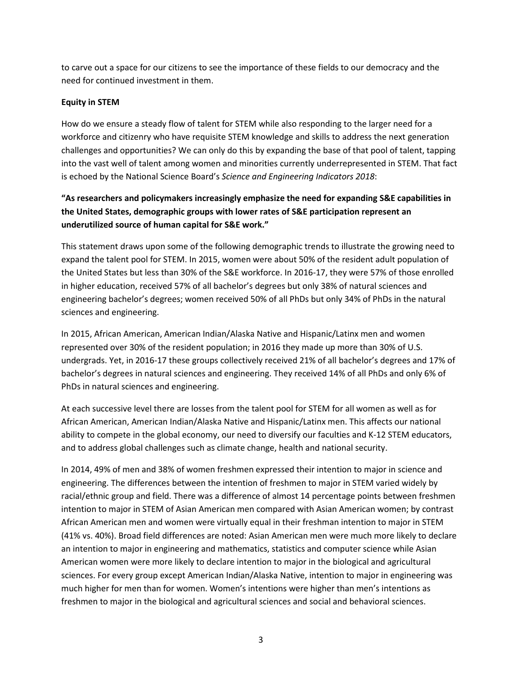to carve out a space for our citizens to see the importance of these fields to our democracy and the need for continued investment in them.

## **Equity in STEM**

How do we ensure a steady flow of talent for STEM while also responding to the larger need for a workforce and citizenry who have requisite STEM knowledge and skills to address the next generation challenges and opportunities? We can only do this by expanding the base of that pool of talent, tapping into the vast well of talent among women and minorities currently underrepresented in STEM. That fact is echoed by the National Science Board's *Science and Engineering Indicators 2018*:

# **"As researchers and policymakers increasingly emphasize the need for expanding S&E capabilities in the United States, demographic groups with lower rates of S&E participation represent an underutilized source of human capital for S&E work."**

This statement draws upon some of the following demographic trends to illustrate the growing need to expand the talent pool for STEM. In 2015, women were about 50% of the resident adult population of the United States but less than 30% of the S&E workforce. In 2016-17, they were 57% of those enrolled in higher education, received 57% of all bachelor's degrees but only 38% of natural sciences and engineering bachelor's degrees; women received 50% of all PhDs but only 34% of PhDs in the natural sciences and engineering.

In 2015, African American, American Indian/Alaska Native and Hispanic/Latinx men and women represented over 30% of the resident population; in 2016 they made up more than 30% of U.S. undergrads. Yet, in 2016-17 these groups collectively received 21% of all bachelor's degrees and 17% of bachelor's degrees in natural sciences and engineering. They received 14% of all PhDs and only 6% of PhDs in natural sciences and engineering.

At each successive level there are losses from the talent pool for STEM for all women as well as for African American, American Indian/Alaska Native and Hispanic/Latinx men. This affects our national ability to compete in the global economy, our need to diversify our faculties and K-12 STEM educators, and to address global challenges such as climate change, health and national security.

In 2014, 49% of men and 38% of women freshmen expressed their intention to major in science and engineering. The differences between the intention of freshmen to major in STEM varied widely by racial/ethnic group and field. There was a difference of almost 14 percentage points between freshmen intention to major in STEM of Asian American men compared with Asian American women; by contrast African American men and women were virtually equal in their freshman intention to major in STEM (41% vs. 40%). Broad field differences are noted: Asian American men were much more likely to declare an intention to major in engineering and mathematics, statistics and computer science while Asian American women were more likely to declare intention to major in the biological and agricultural sciences. For every group except American Indian/Alaska Native, intention to major in engineering was much higher for men than for women. Women's intentions were higher than men's intentions as freshmen to major in the biological and agricultural sciences and social and behavioral sciences.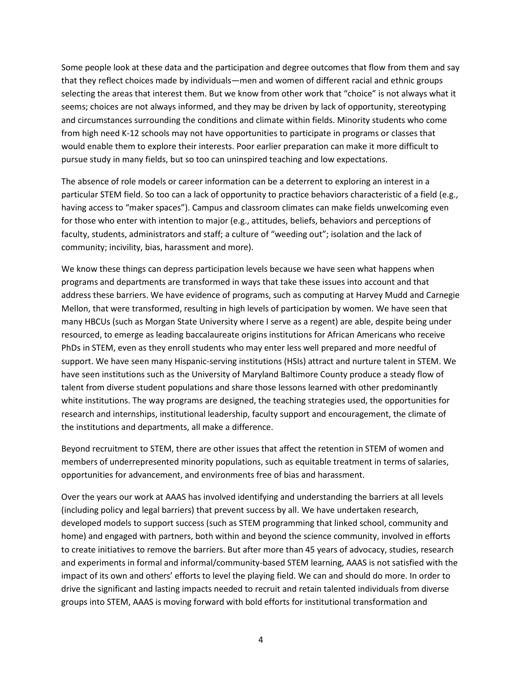Some people look at these data and the participation and degree outcomes that flow from them and say that they reflect choices made by individuals—men and women of different racial and ethnic groups selecting the areas that interest them. But we know from other work that "choice" is not always what it seems; choices are not always informed, and they may be driven by lack of opportunity, stereotyping and circumstances surrounding the conditions and climate within fields. Minority students who come from high need K-12 schools may not have opportunities to participate in programs or classes that would enable them to explore their interests. Poor earlier preparation can make it more difficult to pursue study in many fields, but so too can uninspired teaching and low expectations.

The absence of role models or career information can be a deterrent to exploring an interest in a particular STEM field. So too can a lack of opportunity to practice behaviors characteristic of a field (e.g., having access to "maker spaces"). Campus and classroom climates can make fields unwelcoming even for those who enter with intention to major (e.g., attitudes, beliefs, behaviors and perceptions of faculty, students, administrators and staff; a culture of "weeding out"; isolation and the lack of community; incivility, bias, harassment and more).

We know these things can depress participation levels because we have seen what happens when programs and departments are transformed in ways that take these issues into account and that address these barriers. We have evidence of programs, such as computing at Harvey Mudd and Carnegie Mellon, that were transformed, resulting in high levels of participation by women. We have seen that many HBCUs (such as Morgan State University where I serve as a regent) are able, despite being under resourced, to emerge as leading baccalaureate origins institutions for African Americans who receive PhDs in STEM, even as they enroll students who may enter less well prepared and more needful of support. We have seen many Hispanic-serving institutions (HSIs) attract and nurture talent in STEM. We have seen institutions such as the University of Maryland Baltimore County produce a steady flow of talent from diverse student populations and share those lessons learned with other predominantly white institutions. The way programs are designed, the teaching strategies used, the opportunities for research and internships, institutional leadership, faculty support and encouragement, the climate of the institutions and departments, all make a difference.

Beyond recruitment to STEM, there are other issues that affect the retention in STEM of women and members of underrepresented minority populations, such as equitable treatment in terms of salaries, opportunities for advancement, and environments free of bias and harassment.

Over the years our work at AAAS has involved identifying and understanding the barriers at all levels (including policy and legal barriers) that prevent success by all. We have undertaken research, developed models to support success (such as STEM programming that linked school, community and home) and engaged with partners, both within and beyond the science community, involved in efforts to create initiatives to remove the barriers. But after more than 45 years of advocacy, studies, research and experiments in formal and informal/community-based STEM learning, AAAS is not satisfied with the impact of its own and others' efforts to level the playing field. We can and should do more. In order to drive the significant and lasting impacts needed to recruit and retain talented individuals from diverse groups into STEM, AAAS is moving forward with bold efforts for institutional transformation and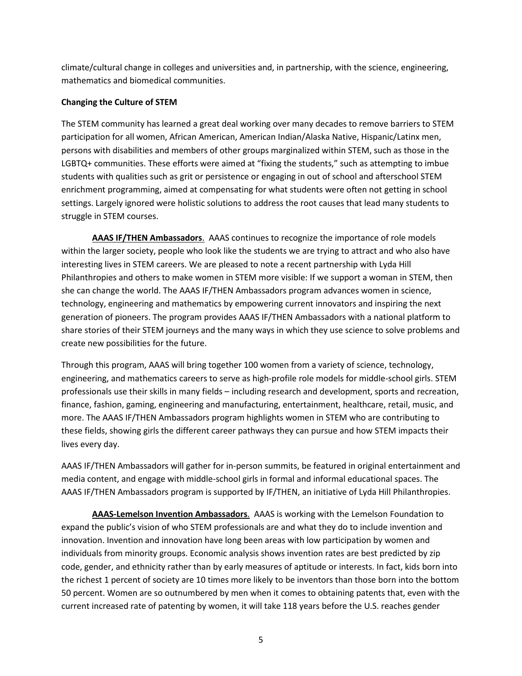climate/cultural change in colleges and universities and, in partnership, with the science, engineering, mathematics and biomedical communities.

## **Changing the Culture of STEM**

The STEM community has learned a great deal working over many decades to remove barriers to STEM participation for all women, African American, American Indian/Alaska Native, Hispanic/Latinx men, persons with disabilities and members of other groups marginalized within STEM, such as those in the LGBTQ+ communities. These efforts were aimed at "fixing the students," such as attempting to imbue students with qualities such as grit or persistence or engaging in out of school and afterschool STEM enrichment programming, aimed at compensating for what students were often not getting in school settings. Largely ignored were holistic solutions to address the root causes that lead many students to struggle in STEM courses.

**AAAS IF/THEN Ambassadors**. AAAS continues to recognize the importance of role models within the larger society, people who look like the students we are trying to attract and who also have interesting lives in STEM careers. We are pleased to note a recent partnership with Lyda Hill Philanthropies and others to make women in STEM more visible: If we support a woman in STEM, then she can change the world. The AAAS IF/THEN Ambassadors program advances women in science, technology, engineering and mathematics by empowering current innovators and inspiring the next generation of pioneers. The program provides AAAS IF/THEN Ambassadors with a national platform to share stories of their STEM journeys and the many ways in which they use science to solve problems and create new possibilities for the future.

Through this program, AAAS will bring together 100 women from a variety of science, technology, engineering, and mathematics careers to serve as high-profile role models for middle-school girls. STEM professionals use their skills in many fields – including research and development, sports and recreation, finance, fashion, gaming, engineering and manufacturing, entertainment, healthcare, retail, music, and more. The AAAS IF/THEN Ambassadors program highlights women in STEM who are contributing to these fields, showing girls the different career pathways they can pursue and how STEM impacts their lives every day.

AAAS IF/THEN Ambassadors will gather for in-person summits, be featured in original entertainment and media content, and engage with middle-school girls in formal and informal educational spaces. The AAAS IF/THEN Ambassadors program is supported by IF/THEN, an initiative of Lyda Hill Philanthropies.

**AAAS-Lemelson Invention Ambassadors**. AAAS is working with the Lemelson Foundation to expand the public's vision of who STEM professionals are and what they do to include invention and innovation. Invention and innovation have long been areas with low participation by women and individuals from minority groups. Economic analysis shows invention rates are best predicted by zip code, gender, and ethnicity rather than by early measures of aptitude or interests. In fact, kids born into the richest 1 percent of society are 10 times more likely to be inventors than those born into the bottom 50 percent. Women are so outnumbered by men when it comes to obtaining patents that, even with the current increased rate of patenting by women, it will take 118 years before the U.S. reaches gender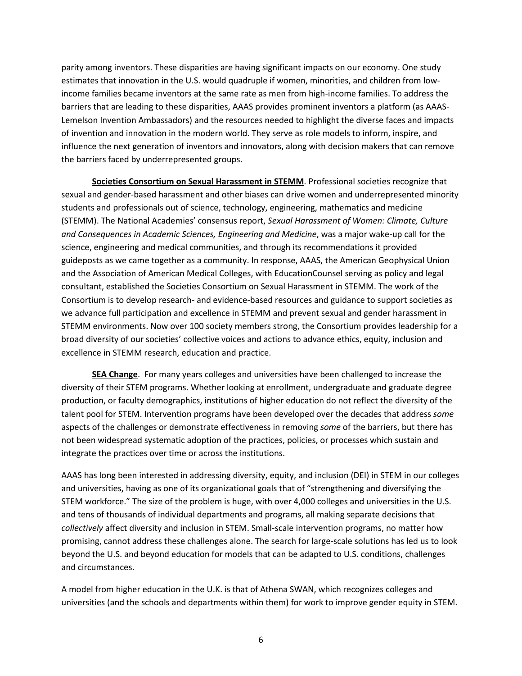parity among inventors. These disparities are having significant impacts on our economy. One study estimates that innovation in the U.S. would quadruple if women, minorities, and children from lowincome families became inventors at the same rate as men from high-income families. To address the barriers that are leading to these disparities, AAAS provides prominent inventors a platform (as AAAS-Lemelson Invention Ambassadors) and the resources needed to highlight the diverse faces and impacts of invention and innovation in the modern world. They serve as role models to inform, inspire, and influence the next generation of inventors and innovators, along with decision makers that can remove the barriers faced by underrepresented groups.

**Societies Consortium on Sexual Harassment in STEMM**. Professional societies recognize that sexual and gender-based harassment and other biases can drive women and underrepresented minority students and professionals out of science, technology, engineering, mathematics and medicine (STEMM). The National Academies' consensus report, *Sexual Harassment of Women: Climate, Culture and Consequences in Academic Sciences, Engineering and Medicine*, was a major wake-up call for the science, engineering and medical communities, and through its recommendations it provided guideposts as we came together as a community. In response, AAAS, the American Geophysical Union and the Association of American Medical Colleges, with EducationCounsel serving as policy and legal consultant, established the Societies Consortium on Sexual Harassment in STEMM. The work of the Consortium is to develop research- and evidence-based resources and guidance to support societies as we advance full participation and excellence in STEMM and prevent sexual and gender harassment in STEMM environments. Now over 100 society members strong, the Consortium provides leadership for a broad diversity of our societies' collective voices and actions to advance ethics, equity, inclusion and excellence in STEMM research, education and practice.

**SEA Change**. For many years colleges and universities have been challenged to increase the diversity of their STEM programs. Whether looking at enrollment, undergraduate and graduate degree production, or faculty demographics, institutions of higher education do not reflect the diversity of the talent pool for STEM. Intervention programs have been developed over the decades that address *some* aspects of the challenges or demonstrate effectiveness in removing *some* of the barriers, but there has not been widespread systematic adoption of the practices, policies, or processes which sustain and integrate the practices over time or across the institutions.

AAAS has long been interested in addressing diversity, equity, and inclusion (DEI) in STEM in our colleges and universities, having as one of its organizational goals that of "strengthening and diversifying the STEM workforce." The size of the problem is huge, with over 4,000 colleges and universities in the U.S. and tens of thousands of individual departments and programs, all making separate decisions that *collectively* affect diversity and inclusion in STEM. Small-scale intervention programs, no matter how promising, cannot address these challenges alone. The search for large-scale solutions has led us to look beyond the U.S. and beyond education for models that can be adapted to U.S. conditions, challenges and circumstances.

A model from higher education in the U.K. is that of Athena SWAN, which recognizes colleges and universities (and the schools and departments within them) for work to improve gender equity in STEM.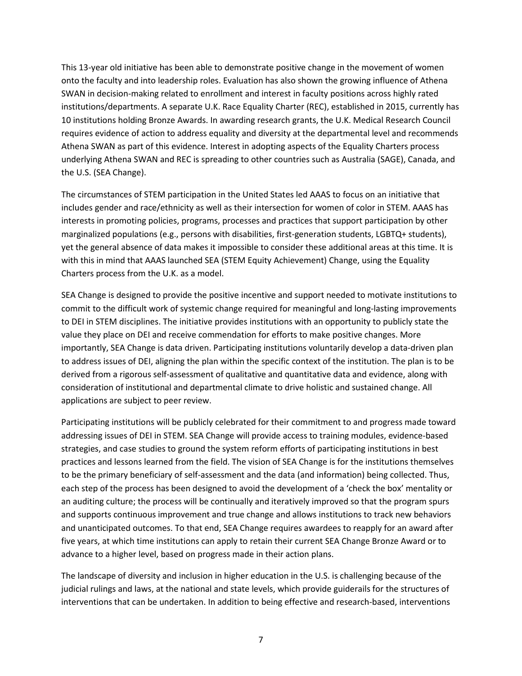This 13-year old initiative has been able to demonstrate positive change in the movement of women onto the faculty and into leadership roles. Evaluation has also shown the growing influence of Athena SWAN in decision-making related to enrollment and interest in faculty positions across highly rated institutions/departments. A separate U.K. Race Equality Charter (REC), established in 2015, currently has 10 institutions holding Bronze Awards. In awarding research grants, the U.K. Medical Research Council requires evidence of action to address equality and diversity at the departmental level and recommends Athena SWAN as part of this evidence. Interest in adopting aspects of the Equality Charters process underlying Athena SWAN and REC is spreading to other countries such as Australia (SAGE), Canada, and the U.S. (SEA Change).

The circumstances of STEM participation in the United States led AAAS to focus on an initiative that includes gender and race/ethnicity as well as their intersection for women of color in STEM. AAAS has interests in promoting policies, programs, processes and practices that support participation by other marginalized populations (e.g., persons with disabilities, first-generation students, LGBTQ+ students), yet the general absence of data makes it impossible to consider these additional areas at this time. It is with this in mind that AAAS launched SEA (STEM Equity Achievement) Change, using the Equality Charters process from the U.K. as a model.

SEA Change is designed to provide the positive incentive and support needed to motivate institutions to commit to the difficult work of systemic change required for meaningful and long-lasting improvements to DEI in STEM disciplines. The initiative provides institutions with an opportunity to publicly state the value they place on DEI and receive commendation for efforts to make positive changes. More importantly, SEA Change is data driven. Participating institutions voluntarily develop a data-driven plan to address issues of DEI, aligning the plan within the specific context of the institution. The plan is to be derived from a rigorous self-assessment of qualitative and quantitative data and evidence, along with consideration of institutional and departmental climate to drive holistic and sustained change. All applications are subject to peer review.

Participating institutions will be publicly celebrated for their commitment to and progress made toward addressing issues of DEI in STEM. SEA Change will provide access to training modules, evidence-based strategies, and case studies to ground the system reform efforts of participating institutions in best practices and lessons learned from the field. The vision of SEA Change is for the institutions themselves to be the primary beneficiary of self-assessment and the data (and information) being collected. Thus, each step of the process has been designed to avoid the development of a 'check the box' mentality or an auditing culture; the process will be continually and iteratively improved so that the program spurs and supports continuous improvement and true change and allows institutions to track new behaviors and unanticipated outcomes. To that end, SEA Change requires awardees to reapply for an award after five years, at which time institutions can apply to retain their current SEA Change Bronze Award or to advance to a higher level, based on progress made in their action plans.

The landscape of diversity and inclusion in higher education in the U.S. is challenging because of the judicial rulings and laws, at the national and state levels, which provide guiderails for the structures of interventions that can be undertaken. In addition to being effective and research-based, interventions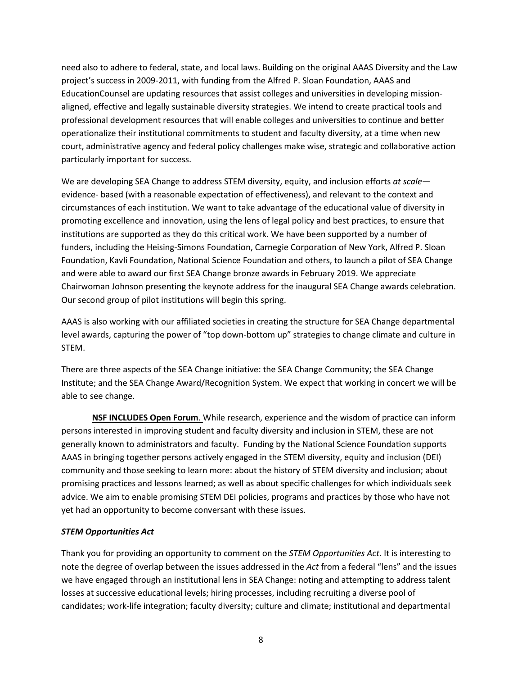need also to adhere to federal, state, and local laws. Building on the original AAAS Diversity and the Law project's success in 2009-2011, with funding from the Alfred P. Sloan Foundation, AAAS and EducationCounsel are updating resources that assist colleges and universities in developing missionaligned, effective and legally sustainable diversity strategies. We intend to create practical tools and professional development resources that will enable colleges and universities to continue and better operationalize their institutional commitments to student and faculty diversity, at a time when new court, administrative agency and federal policy challenges make wise, strategic and collaborative action particularly important for success.

We are developing SEA Change to address STEM diversity, equity, and inclusion efforts *at scale* evidence- based (with a reasonable expectation of effectiveness), and relevant to the context and circumstances of each institution. We want to take advantage of the educational value of diversity in promoting excellence and innovation, using the lens of legal policy and best practices, to ensure that institutions are supported as they do this critical work. We have been supported by a number of funders, including the Heising-Simons Foundation, Carnegie Corporation of New York, Alfred P. Sloan Foundation, Kavli Foundation, National Science Foundation and others, to launch a pilot of SEA Change and were able to award our first SEA Change bronze awards in February 2019. We appreciate Chairwoman Johnson presenting the keynote address for the inaugural SEA Change awards celebration. Our second group of pilot institutions will begin this spring.

AAAS is also working with our affiliated societies in creating the structure for SEA Change departmental level awards, capturing the power of "top down-bottom up" strategies to change climate and culture in STEM.

There are three aspects of the SEA Change initiative: the SEA Change Community; the SEA Change Institute; and the SEA Change Award/Recognition System. We expect that working in concert we will be able to see change.

**NSF INCLUDES Open Forum**. While research, experience and the wisdom of practice can inform persons interested in improving student and faculty diversity and inclusion in STEM, these are not generally known to administrators and faculty. Funding by the National Science Foundation supports AAAS in bringing together persons actively engaged in the STEM diversity, equity and inclusion (DEI) community and those seeking to learn more: about the history of STEM diversity and inclusion; about promising practices and lessons learned; as well as about specific challenges for which individuals seek advice. We aim to enable promising STEM DEI policies, programs and practices by those who have not yet had an opportunity to become conversant with these issues.

### *STEM Opportunities Act*

Thank you for providing an opportunity to comment on the *STEM Opportunities Act*. It is interesting to note the degree of overlap between the issues addressed in the *Act* from a federal "lens" and the issues we have engaged through an institutional lens in SEA Change: noting and attempting to address talent losses at successive educational levels; hiring processes, including recruiting a diverse pool of candidates; work-life integration; faculty diversity; culture and climate; institutional and departmental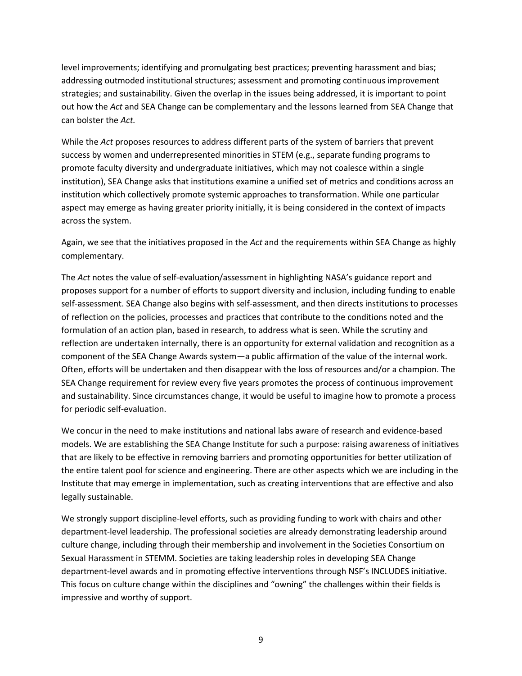level improvements; identifying and promulgating best practices; preventing harassment and bias; addressing outmoded institutional structures; assessment and promoting continuous improvement strategies; and sustainability. Given the overlap in the issues being addressed, it is important to point out how the *Act* and SEA Change can be complementary and the lessons learned from SEA Change that can bolster the *Act.*

While the *Act* proposes resources to address different parts of the system of barriers that prevent success by women and underrepresented minorities in STEM (e.g., separate funding programs to promote faculty diversity and undergraduate initiatives, which may not coalesce within a single institution), SEA Change asks that institutions examine a unified set of metrics and conditions across an institution which collectively promote systemic approaches to transformation. While one particular aspect may emerge as having greater priority initially, it is being considered in the context of impacts across the system.

Again, we see that the initiatives proposed in the *Act* and the requirements within SEA Change as highly complementary.

The *Act* notes the value of self-evaluation/assessment in highlighting NASA's guidance report and proposes support for a number of efforts to support diversity and inclusion, including funding to enable self-assessment. SEA Change also begins with self-assessment, and then directs institutions to processes of reflection on the policies, processes and practices that contribute to the conditions noted and the formulation of an action plan, based in research, to address what is seen. While the scrutiny and reflection are undertaken internally, there is an opportunity for external validation and recognition as a component of the SEA Change Awards system—a public affirmation of the value of the internal work. Often, efforts will be undertaken and then disappear with the loss of resources and/or a champion. The SEA Change requirement for review every five years promotes the process of continuous improvement and sustainability. Since circumstances change, it would be useful to imagine how to promote a process for periodic self-evaluation.

We concur in the need to make institutions and national labs aware of research and evidence-based models. We are establishing the SEA Change Institute for such a purpose: raising awareness of initiatives that are likely to be effective in removing barriers and promoting opportunities for better utilization of the entire talent pool for science and engineering. There are other aspects which we are including in the Institute that may emerge in implementation, such as creating interventions that are effective and also legally sustainable.

We strongly support discipline-level efforts, such as providing funding to work with chairs and other department-level leadership. The professional societies are already demonstrating leadership around culture change, including through their membership and involvement in the Societies Consortium on Sexual Harassment in STEMM. Societies are taking leadership roles in developing SEA Change department-level awards and in promoting effective interventions through NSF's INCLUDES initiative. This focus on culture change within the disciplines and "owning" the challenges within their fields is impressive and worthy of support.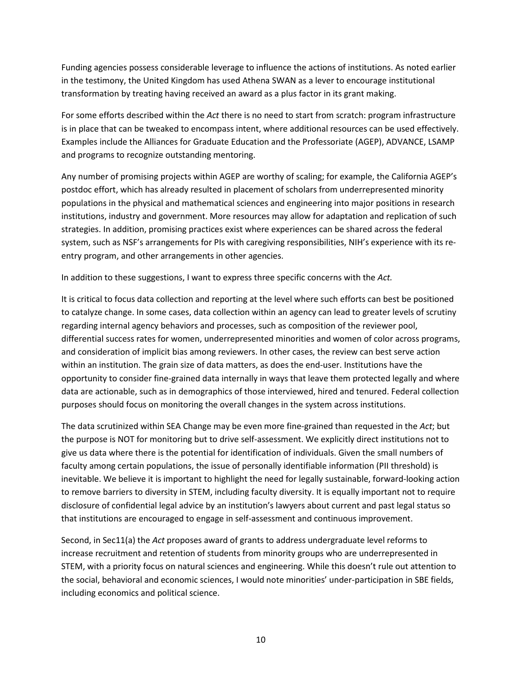Funding agencies possess considerable leverage to influence the actions of institutions. As noted earlier in the testimony, the United Kingdom has used Athena SWAN as a lever to encourage institutional transformation by treating having received an award as a plus factor in its grant making.

For some efforts described within the *Act* there is no need to start from scratch: program infrastructure is in place that can be tweaked to encompass intent, where additional resources can be used effectively. Examples include the Alliances for Graduate Education and the Professoriate (AGEP), ADVANCE, LSAMP and programs to recognize outstanding mentoring.

Any number of promising projects within AGEP are worthy of scaling; for example, the California AGEP's postdoc effort, which has already resulted in placement of scholars from underrepresented minority populations in the physical and mathematical sciences and engineering into major positions in research institutions, industry and government. More resources may allow for adaptation and replication of such strategies. In addition, promising practices exist where experiences can be shared across the federal system, such as NSF's arrangements for PIs with caregiving responsibilities, NIH's experience with its reentry program, and other arrangements in other agencies.

In addition to these suggestions, I want to express three specific concerns with the *Act.*

It is critical to focus data collection and reporting at the level where such efforts can best be positioned to catalyze change. In some cases, data collection within an agency can lead to greater levels of scrutiny regarding internal agency behaviors and processes, such as composition of the reviewer pool, differential success rates for women, underrepresented minorities and women of color across programs, and consideration of implicit bias among reviewers. In other cases, the review can best serve action within an institution. The grain size of data matters, as does the end-user. Institutions have the opportunity to consider fine-grained data internally in ways that leave them protected legally and where data are actionable, such as in demographics of those interviewed, hired and tenured. Federal collection purposes should focus on monitoring the overall changes in the system across institutions.

The data scrutinized within SEA Change may be even more fine-grained than requested in the *Act*; but the purpose is NOT for monitoring but to drive self-assessment. We explicitly direct institutions not to give us data where there is the potential for identification of individuals. Given the small numbers of faculty among certain populations, the issue of personally identifiable information (PII threshold) is inevitable. We believe it is important to highlight the need for legally sustainable, forward-looking action to remove barriers to diversity in STEM, including faculty diversity. It is equally important not to require disclosure of confidential legal advice by an institution's lawyers about current and past legal status so that institutions are encouraged to engage in self-assessment and continuous improvement.

Second, in Sec11(a) the *Act* proposes award of grants to address undergraduate level reforms to increase recruitment and retention of students from minority groups who are underrepresented in STEM, with a priority focus on natural sciences and engineering. While this doesn't rule out attention to the social, behavioral and economic sciences, I would note minorities' under-participation in SBE fields, including economics and political science.